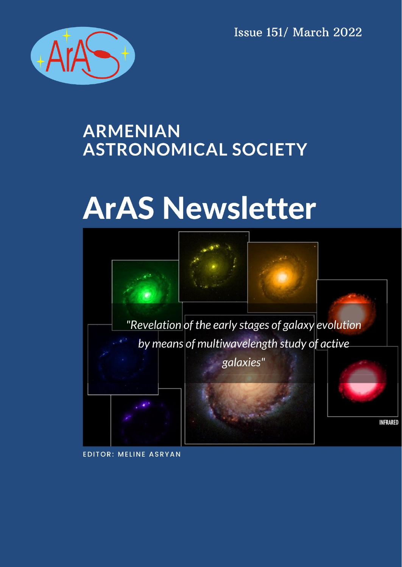**Issue 151/ March 2022** 



# **ARMENIAN ASTRONOMICAL SOCIETY**

# **ArAS Newsletter**



**EDITOR: MELINE ASRYAN**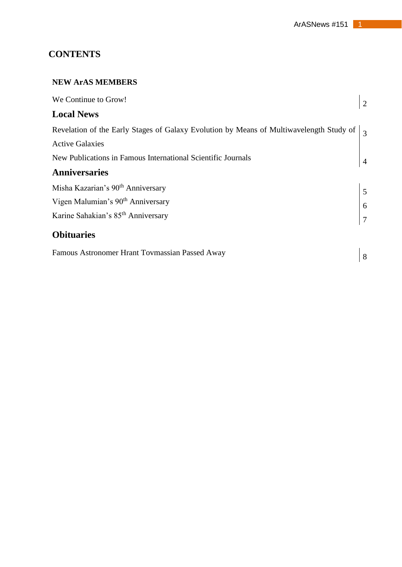# **CONTENTS**

#### **NEW ArAS MEMBERS**

| We Continue to Grow!                                                                              | 2              |
|---------------------------------------------------------------------------------------------------|----------------|
| <b>Local News</b>                                                                                 |                |
| Revelation of the Early Stages of Galaxy Evolution by Means of Multiwavelength Study of $\vert$ 3 |                |
| <b>Active Galaxies</b>                                                                            |                |
| New Publications in Famous International Scientific Journals                                      | $\overline{4}$ |
| <b>Anniversaries</b>                                                                              |                |
| Misha Kazarian's 90 <sup>th</sup> Anniversary                                                     | $\sqrt{5}$     |
| Vigen Malumian's 90 <sup>th</sup> Anniversary                                                     | $\overline{6}$ |
| Karine Sahakian's 85 <sup>th</sup> Anniversary                                                    |                |
| <b>Obituaries</b>                                                                                 |                |
| Famous Astronomer Hrant Tovmassian Passed Away                                                    | 8              |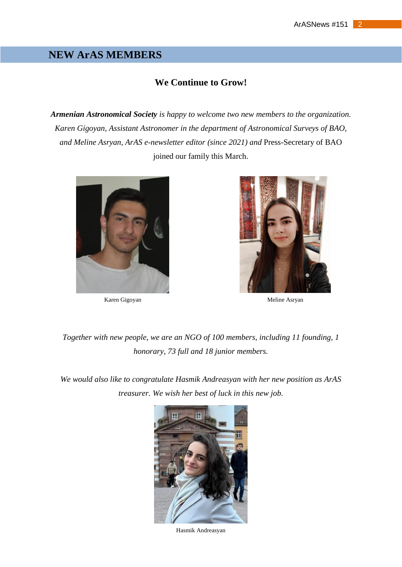# **NEW ArAS MEMBERS**

#### **We Continue to Grow!**

*Armenian Astronomical Society is happy to welcome two new members to the organization. Karen Gigoyan, Assistant Astronomer in the department of Astronomical Surveys of BAO, and Meline Asryan, ArAS e-newsletter editor (since 2021) and* Press-Secretary of BAO joined our family this March.





Karen Gigoyan Meline Asryan

*Together with new people, we are an NGO of 100 members, including 11 founding, 1 honorary, 73 full and 18 junior members.*

*We would also like to congratulate Hasmik Andreasyan with her new position as ArAS treasurer. We wish her best of luck in this new job.*



Hasmik Andreasyan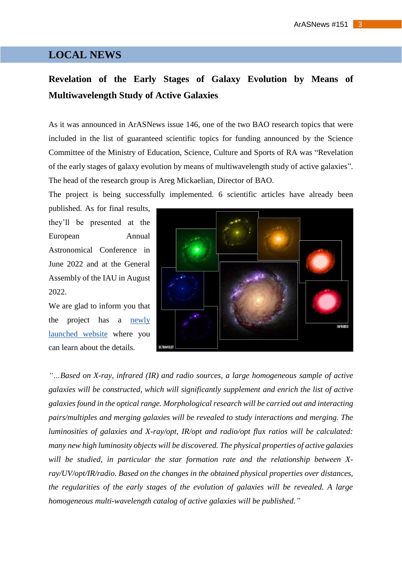# **LOCAL NEWS**

# **Revelation of the Early Stages of Galaxy Evolution by Means of Multiwavelength Study of Active Galaxies**

As it was announced in ArASNews issue 146, one of the two BAO research topics that were included in the list of guaranteed scientific topics for funding announced by the Science Committee of the Ministry of Education, Science, Culture and Sports of RA was "Revelation of the early stages of galaxy evolution by means of multiwavelength study of active galaxies". The head of the research group is Areg Mickaelian, Director of BAO.

The project is being successfully implemented. 6 scientific articles have already been

published. As for final results, they'll be presented at the European Annual Astronomical Conference in June 2022 and at the General Assembly of the IAU in August 2022.

We are glad to inform you that the project has a [newly](https://www.bao.am/activities/21AG-1C053/index.html)  [launched](https://www.bao.am/activities/21AG-1C053/index.html) website where you can learn about the details.



*"…Based on X-ray, infrared (IR) and radio sources, a large homogeneous sample of active galaxies will be constructed, which will significantly supplement and enrich the list of active galaxies found in the optical range. Morphological research will be carried out and interacting pairs/multiples and merging galaxies will be revealed to study interactions and merging. The luminosities of galaxies and X-ray/opt, IR/opt and radio/opt flux ratios will be calculated: many new high luminosity objects will be discovered. The physical properties of active galaxies will be studied, in particular the star formation rate and the relationship between Xray/UV/opt/IR/radio. Based on the changes in the obtained physical properties over distances, the regularities of the early stages of the evolution of galaxies will be revealed. A large homogeneous multi-wavelength catalog of active galaxies will be published."*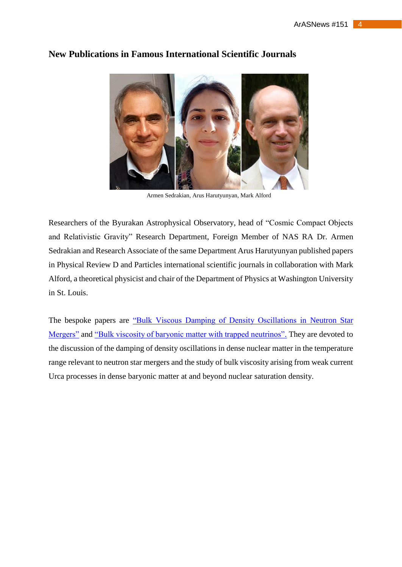

#### **New Publications in Famous International Scientific Journals**

Armen Sedrakian, Arus Harutyunyan, Mark Alford

Researchers of the Byurakan Astrophysical Observatory, head of "Cosmic Compact Objects and Relativistic Gravity" Research Department, Foreign Member of NAS RA Dr. Armen Sedrakian and Research Associate of the same Department Arus Harutyunyan published papers in Physical Review D and Particles international scientific journals in collaboration with Mark Alford, a theoretical physicist and chair of the Department of Physics at Washington University in St. Louis.

The bespoke papers are ["Bulk Viscous Damping of Density Oscillations in Neutron Star](https://www.mdpi.com/2571-712X/3/2/34?fbclid=IwAR25O4YPBgHCN453pACYx0DroM3irTLcvAr-JVBnwKh9-MOMx6mZ1eE4RoI)  [Mergers"](https://www.mdpi.com/2571-712X/3/2/34?fbclid=IwAR25O4YPBgHCN453pACYx0DroM3irTLcvAr-JVBnwKh9-MOMx6mZ1eE4RoI) and ["Bulk viscosity of baryonic matter with trapped neutrinos".](https://journals.aps.org/prd/abstract/10.1103/PhysRevD.100.103021?fbclid=IwAR1b3-8f3oa6_Bx6430f--206Jg8KDHDh3RVg-O1yy14eoLNKG2X0E3fHCU) They are devoted to the discussion of the damping of density oscillations in dense nuclear matter in the temperature range relevant to neutron star mergers and the study of bulk viscosity arising from weak current Urca processes in dense baryonic matter at and beyond nuclear saturation density.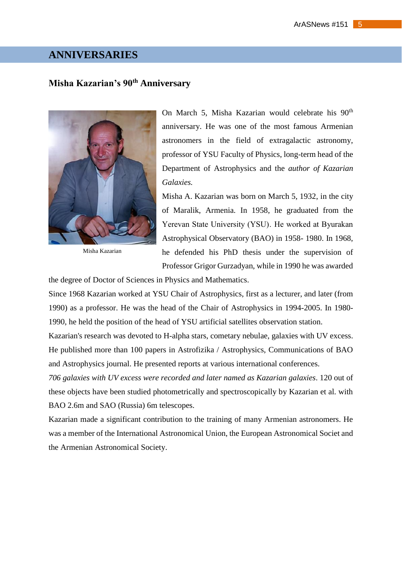# **ANNIVERSARIES**

## **Misha Kazarian's 90th Anniversary**



Misha Kazarian

On March 5, Misha Kazarian would celebrate his 90<sup>th</sup> anniversary. He was one of the most famous Armenian astronomers in the field of extragalactic astronomy, professor of YSU Faculty of Physics, long-term head of the Department of Astrophysics and the *author of Kazarian Galaxies.*

Misha A. Kazarian was born on March 5, 1932, in the city of Maralik, Armenia. In 1958, he graduated from the Yerevan State University (YSU)․ He worked at Byurakan Astrophysical Observatory (BAO) in 1958- 1980. In 1968, he defended his PhD thesis under the supervision of Professor Grigor Gurzadyan, while in 1990 he was awarded

the degree of Doctor of Sciences in Physics and Mathematics.

Since 1968 Kazarian worked at YSU Chair of Astrophysics, first as a lecturer, and later (from 1990) as a professor. He was the head of the Chair of Astrophysics in 1994-2005. In 1980- 1990, he held the position of the head of YSU artificial satellites observation station.

Kazarian's research was devoted to H-alpha stars, cometary nebulae, galaxies with UV excess. He published more than 100 papers in Astrofizika / Astrophysics, Communications of BAO and Astrophysics journal. He presented reports at various international conferences.

*706 galaxies with UV excess were recorded and later named as Kazarian galaxies*. 120 out of these objects have been studied photometrically and spectroscopically by Kazarian et al. with BAO 2.6m and SAO (Russia) 6m telescopes.

Kazarian made a significant contribution to the training of many Armenian astronomers. He was a member of the International Astronomical Union, the European Astronomical Societ and the Armenian Astronomical Society.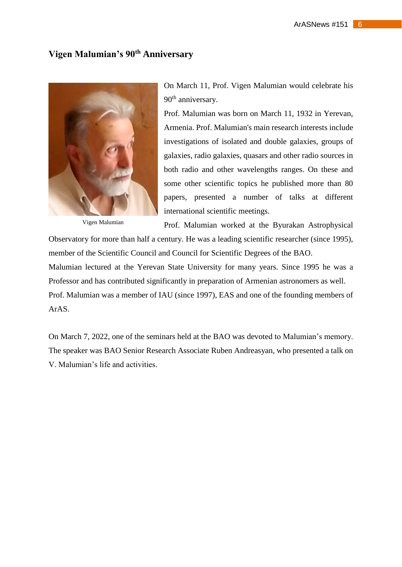# **Vigen Malumian's 90th Anniversary**



Vigen Malumian

On March 11, Prof. Vigen Malumian would celebrate his 90<sup>th</sup> anniversary.

Prof. Malumian was born on March 11, 1932 in Yerevan, Armenia. Prof. Malumian's main research interests include investigations of isolated and double galaxies, groups of galaxies, radio galaxies, quasars and other radio sources in both radio and other wavelengths ranges. On these and some other scientific topics he published more than 80 papers, presented a number of talks at different international scientific meetings.

Prof. Malumian worked at the Byurakan Astrophysical Observatory for more than half a century. He was a leading scientific researcher (since 1995),

member of the Scientific Council and Council for Scientific Degrees of the BAO.

Malumian lectured at the Yerevan State University for many years. Since 1995 he was a Professor and has contributed significantly in preparation of Armenian astronomers as well. Prof. Malumian was a member of IAU (since 1997), EAS and one of the founding members of ArAS.

On March 7, 2022, one of the seminars held at the BAO was devoted to Malumian's memory. The speaker was BAO Senior Research Associate Ruben Andreasyan, who presented a talk on V. Malumian's life and activities.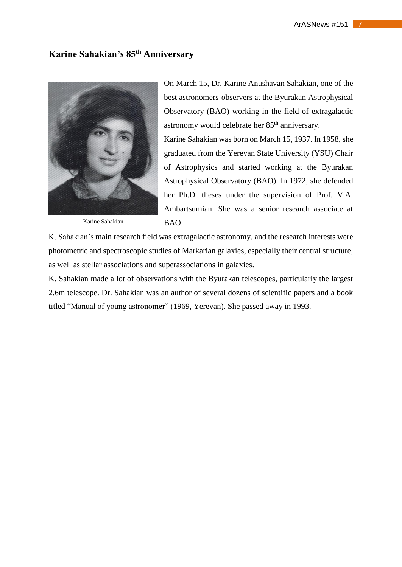# **Karine Sahakian's 85th Anniversary**



Karine Sahakian

On March 15, Dr. Karine Anushavan Sahakian, one of the best astronomers-observers at the Byurakan Astrophysical Observatory (BAO) working in the field of extragalactic astronomy would celebrate her 85<sup>th</sup> anniversary.

Karine Sahakian was born on March 15, 1937. In 1958, she graduated from the Yerevan State University (YSU) Chair of Astrophysics and started working at the Byurakan Astrophysical Observatory (BAO). In 1972, she defended her Ph.D. theses under the supervision of Prof. V.A. Ambartsumian. She was a senior research associate at BAO.

K. Sahakian's main research field was extragalactic astronomy, and the research interests were photometric and spectroscopic studies of Markarian galaxies, especially their central structure, as well as stellar associations and superassociations in galaxies.

K. Sahakian made a lot of observations with the Byurakan telescopes, particularly the largest 2.6m telescope. Dr. Sahakian was an author of several dozens of scientific papers and a book titled "Manual of young astronomer" (1969, Yerevan). She passed away in 1993.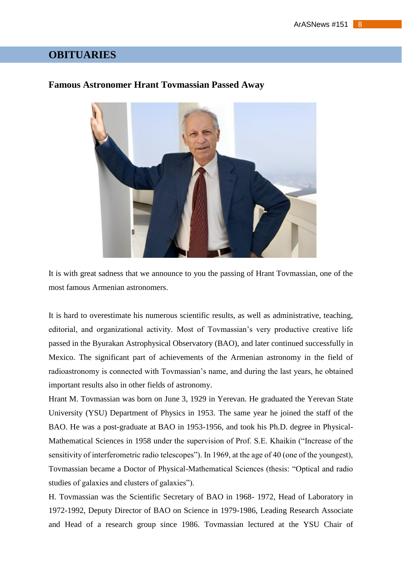# **OBITUARIES**

#### **Famous Astronomer Hrant Tovmassian Passed Away**



It is with great sadness that we announce to you the passing of Hrant Tovmassian, one of the most famous Armenian astronomers.

It is hard to overestimate his numerous scientific results, as well as administrative, teaching, editorial, and organizational activity. Most of Tovmassian's very productive creative life passed in the Byurakan Astrophysical Observatory (BAO), and later continued successfully in Mexico. The significant part of achievements of the Armenian astronomy in the field of radioastronomy is connected with Tovmassian's name, and during the last years, he obtained important results also in other fields of astronomy.

Hrant M. Tovmassian was born on June 3, 1929 in Yerevan. He graduated the Yerevan State University (YSU) Department of Physics in 1953. The same year he joined the staff of the BAO. He was a post-graduate at BAO in 1953-1956, and took his Ph.D. degree in Physical-Mathematical Sciences in 1958 under the supervision of Prof. S.E. Khaikin ("Increase of the sensitivity of interferometric radio telescopes"). In 1969, at the age of 40 (one of the youngest), Tovmassian became a Doctor of Physical-Mathematical Sciences (thesis: "Optical and radio studies of galaxies and clusters of galaxies").

H. Tovmassian was the Scientific Secretary of BAO in 1968- 1972, Head of Laboratory in 1972-1992, Deputy Director of BAO on Science in 1979-1986, Leading Research Associate and Head of a research group since 1986. Tovmassian lectured at the YSU Chair of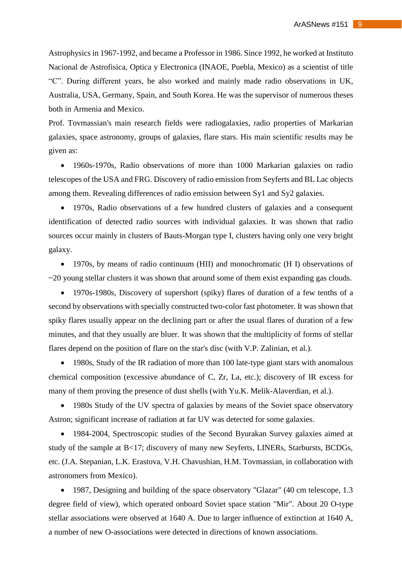Astrophysics in 1967-1992, and became a Professor in 1986. Since 1992, he worked at Instituto Nacional de Astrofisica, Optica y Electronica (INAOE, Puebla, Mexico) as a scientist of title "C". During different years, he also worked and mainly made radio observations in UK, Australia, USA, Germany, Spain, and South Korea. He was the supervisor of numerous theses both in Armenia and Mexico.

Prof. Tovmassian's main research fields were radiogalaxies, radio properties of Markarian galaxies, space astronomy, groups of galaxies, flare stars. His main scientific results may be given as:

 1960s-1970s, Radio observations of more than 1000 Markarian galaxies on radio telescopes of the USA and FRG. Discovery of radio emission from Seyferts and BL Lac objects among them. Revealing differences of radio emission between Sy1 and Sy2 galaxies.

 1970s, Radio observations of a few hundred clusters of galaxies and a consequent identification of detected radio sources with individual galaxies. It was shown that radio sources occur mainly in clusters of Bauts-Morgan type I, clusters having only one very bright galaxy.

 1970s, by means of radio continuum (HII) and monochromatic (H I) observations of  $\sim$ 20 young stellar clusters it was shown that around some of them exist expanding gas clouds.

 1970s-1980s, Discovery of supershort (spiky) flares of duration of a few tenths of a second by observations with specially constructed two-color fast photometer. It was shown that spiky flares usually appear on the declining part or after the usual flares of duration of a few minutes, and that they usually are bluer. It was shown that the multiplicity of forms of stellar flares depend on the position of flare on the star's disc (with V.P. Zalinian, et al.).

• 1980s, Study of the IR radiation of more than 100 late-type giant stars with anomalous chemical composition (excessive abundance of C, Zr, La, etc.); discovery of IR excess for many of them proving the presence of dust shells (with Yu.K. Melik-Alaverdian, et al.).

• 1980s Study of the UV spectra of galaxies by means of the Soviet space observatory Astron; significant increase of radiation at far UV was detected for some galaxies.

 1984-2004, Spectroscopic studies of the Second Byurakan Survey galaxies aimed at study of the sample at B<17; discovery of many new Seyferts, LINERs, Starbursts, BCDGs, etc. (J.A. Stepanian, L.K. Erastova, V.H. Chavushian, H.M. Tovmassian, in collaboration with astronomers from Mexico).

• 1987, Designing and building of the space observatory "Glazar" (40 cm telescope, 1.3 degree field of view), which operated onboard Soviet space station "Mir". About 20 O-type stellar associations were observed at 1640 A. Due to larger influence of extinction at 1640 A, a number of new O-associations were detected in directions of known associations.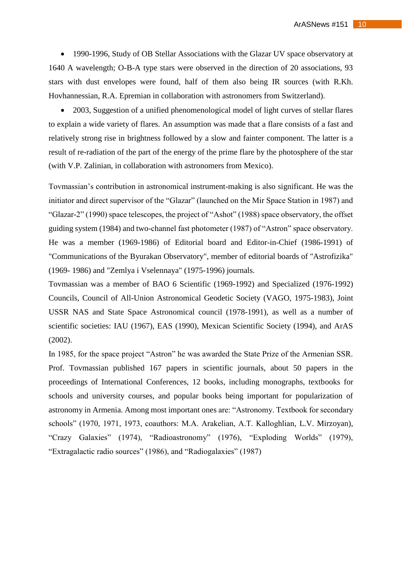• 1990-1996, Study of OB Stellar Associations with the Glazar UV space observatory at 1640 A wavelength; O-B-A type stars were observed in the direction of 20 associations, 93 stars with dust envelopes were found, half of them also being IR sources (with R.Kh. Hovhannessian, R.A. Epremian in collaboration with astronomers from Switzerland).

• 2003, Suggestion of a unified phenomenological model of light curves of stellar flares to explain a wide variety of flares. An assumption was made that a flare consists of a fast and relatively strong rise in brightness followed by a slow and fainter component. The latter is a result of re-radiation of the part of the energy of the prime flare by the photosphere of the star (with V.P. Zalinian, in collaboration with astronomers from Mexico).

Tovmassian's contribution in astronomical instrument-making is also significant. He was the initiator and direct supervisor of the "Glazar" (launched on the Mir Space Station in 1987) and "Glazar-2" (1990) space telescopes, the project of "Ashot" (1988) space observatory, the offset guiding system (1984) and two-channel fast photometer (1987) of "Astron" space observatory. He was a member (1969-1986) of Editorial board and Editor-in-Chief (1986-1991) of "Communications of the Byurakan Observatory", member of editorial boards of "Astrofizika" (1969- 1986) and "Zemlya i Vselennaya" (1975-1996) journals.

Tovmassian was a member of BAO 6 Scientific (1969-1992) and Specialized (1976-1992) Councils, Council of All-Union Astronomical Geodetic Society (VAGO, 1975-1983), Joint USSR NAS and State Space Astronomical council (1978-1991), as well as a number of scientific societies: IAU (1967), EAS (1990), Mexican Scientific Society (1994), and ArAS (2002).

In 1985, for the space project "Astron" he was awarded the State Prize of the Armenian SSR. Prof. Tovmassian published 167 papers in scientific journals, about 50 papers in the proceedings of International Conferences, 12 books, including monographs, textbooks for schools and university courses, and popular books being important for popularization of astronomy in Armenia. Among most important ones are: "Astronomy. Textbook for secondary schools" (1970, 1971, 1973, coauthors: M.A. Arakelian, A.T. Kalloghlian, L.V. Mirzoyan), "Crazy Galaxies" (1974), "Radioastronomy" (1976), "Exploding Worlds" (1979), "Extragalactic radio sources" (1986), and "Radiogalaxies" (1987)